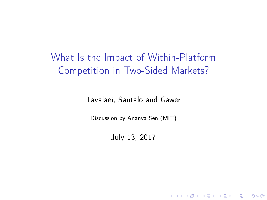What Is the Impact of Within-Platform Competition in Two-Sided Markets?

Tavalaei, Santalo and Gawer

Discussion by Ananya Sen (MIT)

July 13, 2017

K ロ ▶ K 레 ▶ K 레 ▶ K 레 ≯ K 게 회 게 이 및 사 이 의 O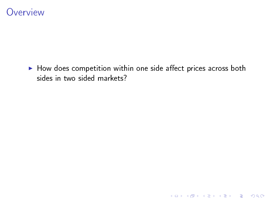

 $\blacktriangleright$  How does competition within one side affect prices across both sides in two sided markets?

K □ ▶ K @ ▶ K 할 X X 할 X : 할 X 1 9 Q Q ^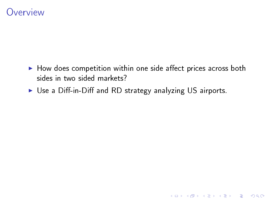#### **Overview**

 $\blacktriangleright$  How does competition within one side affect prices across both sides in two sided markets?

K ロ ▶ K 레 ▶ K 레 ▶ K 레 ≯ K 게 회 게 이 및 사 이 의 O

 $\triangleright$  Use a Diff-in-Diff and RD strategy analyzing US airports.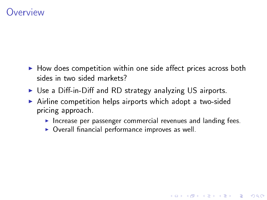#### **Overview**

- $\blacktriangleright$  How does competition within one side affect prices across both sides in two sided markets?
- $\triangleright$  Use a Diff-in-Diff and RD strategy analyzing US airports.
- ▶ Airline competition helps airports which adopt a two-sided pricing approach.
	- Increase per passenger commercial revenues and landing fees.

**KORK EX KEY KEY YOUR** 

 $\triangleright$  Overall financial performance improves as well.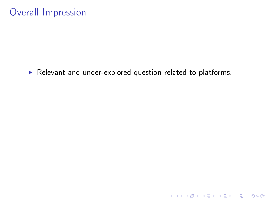#### Overall Impression

 $\blacktriangleright$  Relevant and under-explored question related to platforms.

K ロ ▶ K @ ▶ K 할 ▶ K 할 ▶ | 할 | X 9 Q @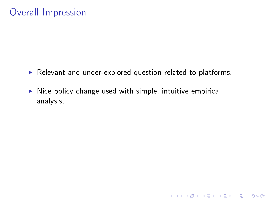#### Overall Impression

 $\blacktriangleright$  Relevant and under-explored question related to platforms.

 $\triangleright$  Nice policy change used with simple, intuitive empirical analysis.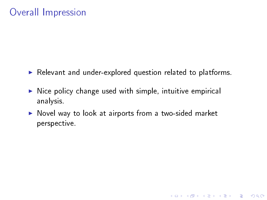#### Overall Impression

- Exercise Relevant and under-explored question related to platforms.
- $\triangleright$  Nice policy change used with simple, intuitive empirical analysis.
- $\triangleright$  Novel way to look at airports from a two-sided market perspective.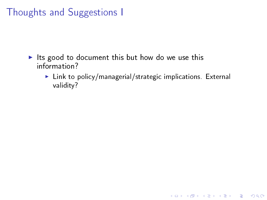- Its good to document this but how do we use this information?
	- $\blacktriangleright$  Link to policy/managerial/strategic implications. External validity?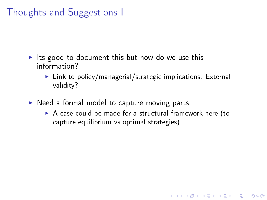- Its good to document this but how do we use this information?
	- $\blacktriangleright$  Link to policy/managerial/strategic implications. External validity?
- $\triangleright$  Need a formal model to capture moving parts.
	- $\triangleright$  A case could be made for a structural framework here (to capture equilibrium vs optimal strategies).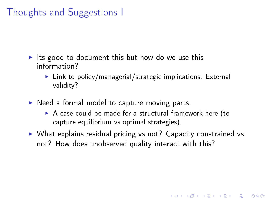- Its good to document this but how do we use this information?
	- $\blacktriangleright$  Link to policy/managerial/strategic implications. External validity?
- $\triangleright$  Need a formal model to capture moving parts.
	- $\triangleright$  A case could be made for a structural framework here (to capture equilibrium vs optimal strategies).
- $\triangleright$  What explains residual pricing vs not? Capacity constrained vs. not? How does unobserved quality interact with this?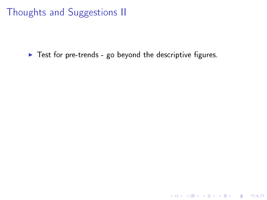$\blacktriangleright$  Test for pre-trends - go beyond the descriptive figures.

K ロ ▶ K 레 ▶ K 레 ▶ K 레 ≯ K 게 회 게 이 및 사 이 의 O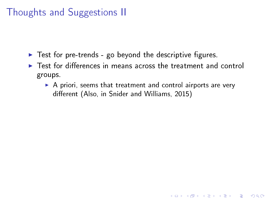- $\triangleright$  Test for pre-trends go beyond the descriptive figures.
- $\blacktriangleright$  Test for differences in means across the treatment and control groups.
	- $\triangleright$  A priori, seems that treatment and control airports are very different (Also, in Snider and Williams, 2015)

**KORK STRATER STRAKES**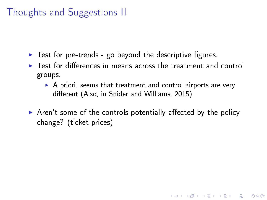- $\blacktriangleright$  Test for pre-trends go beyond the descriptive figures.
- $\triangleright$  Test for differences in means across the treatment and control groups.
	- $\triangleright$  A priori, seems that treatment and control airports are very different (Also, in Snider and Williams, 2015)

**KORK EX KEY KEY YOUR** 

 $\triangleright$  Aren't some of the controls potentially affected by the policy change? (ticket prices)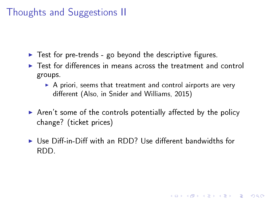- $\blacktriangleright$  Test for pre-trends go beyond the descriptive figures.
- $\triangleright$  Test for differences in means across the treatment and control groups.
	- $\triangleright$  A priori, seems that treatment and control airports are very different (Also, in Snider and Williams, 2015)
- $\triangleright$  Aren't some of the controls potentially affected by the policy change? (ticket prices)
- $\blacktriangleright$  Use Diff-in-Diff with an RDD? Use different bandwidths for RDD.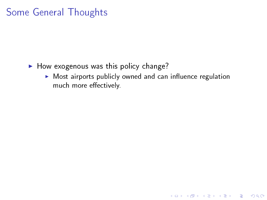- $\blacktriangleright$  How exogenous was this policy change?
	- $\triangleright$  Most airports publicly owned and can influence regulation much more effectively.

K ロ ▶ K 레 ▶ K 레 ▶ K 레 ≯ K 게 회 게 이 및 사 이 의 O